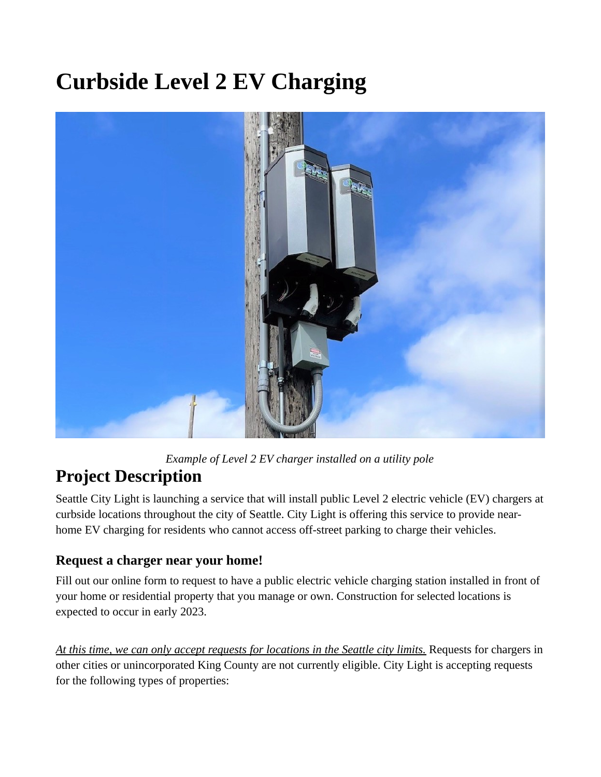# **Curbside Level 2 EV Charging**



*Example of Level 2 EV charger installed on a utility pole*

# **Project Description**

Seattle City Light is launching a service that will install public Level 2 electric vehicle (EV) chargers at curbside locations throughout the city of Seattle. City Light is offering this service to provide nearhome EV charging for residents who cannot access off-street parking to charge their vehicles.

### **Request a charger near your home!**

Fill out our online form to request to have a public electric vehicle charging station installed in front of your home or residential property that you manage or own. Construction for selected locations is expected to occur in early 2023.

*At this time, we can only accept requests for locations in the Seattle city limits.* Requests for chargers in other cities or unincorporated King County are not currently eligible. City Light is accepting requests for the following types of properties: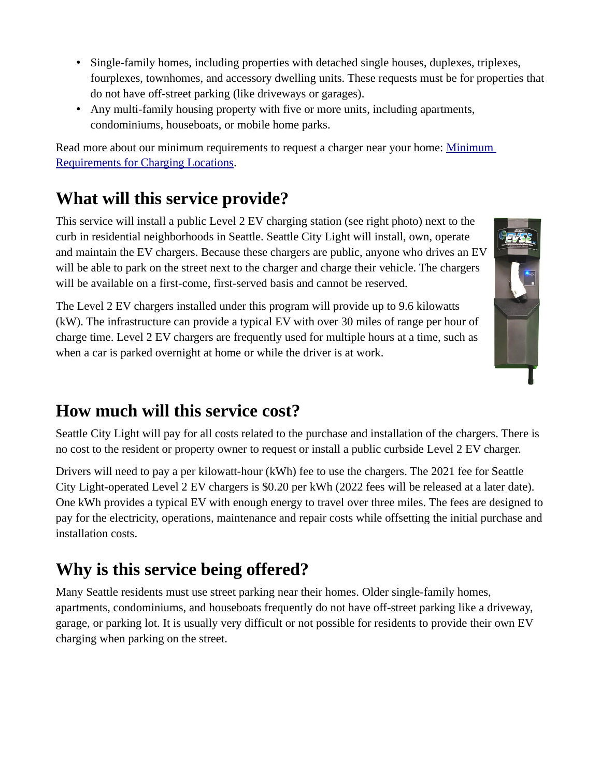- Single-family homes, including properties with detached single houses, duplexes, triplexes, fourplexes, townhomes, and accessory dwelling units. These requests must be for properties that do not have off-street parking (like driveways or garages).
- Any multi-family housing property with five or more units, including apartments, condominiums, houseboats, or mobile home parks.

Read more about our minimum requirements to request a charger near your home: Minimum [Requirements for Charging Locations](https://www.seattle.gov/documents/Departments/CityLight/CurrentProjects/CurbsideLevel2EVCharging_Requirements.pdf).

# **What will this service provide?**

This service will install a public Level 2 EV charging station (see right photo) next to the curb in residential neighborhoods in Seattle. Seattle City Light will install, own, operate and maintain the EV chargers. Because these chargers are public, anyone who drives an EV will be able to park on the street next to the charger and charge their vehicle. The chargers will be available on a first-come, first-served basis and cannot be reserved.

The Level 2 EV chargers installed under this program will provide up to 9.6 kilowatts (kW). The infrastructure can provide a typical EV with over 30 miles of range per hour of charge time. Level 2 EV chargers are frequently used for multiple hours at a time, such as when a car is parked overnight at home or while the driver is at work.



### **How much will this service cost?**

Seattle City Light will pay for all costs related to the purchase and installation of the chargers. There is no cost to the resident or property owner to request or install a public curbside Level 2 EV charger.

Drivers will need to pay a per kilowatt-hour (kWh) fee to use the chargers. The 2021 fee for Seattle City Light-operated Level 2 EV chargers is \$0.20 per kWh (2022 fees will be released at a later date). One kWh provides a typical EV with enough energy to travel over three miles. The fees are designed to pay for the electricity, operations, maintenance and repair costs while offsetting the initial purchase and installation costs.

# **Why is this service being offered?**

Many Seattle residents must use street parking near their homes. Older single-family homes, apartments, condominiums, and houseboats frequently do not have off-street parking like a driveway, garage, or parking lot. It is usually very difficult or not possible for residents to provide their own EV charging when parking on the street.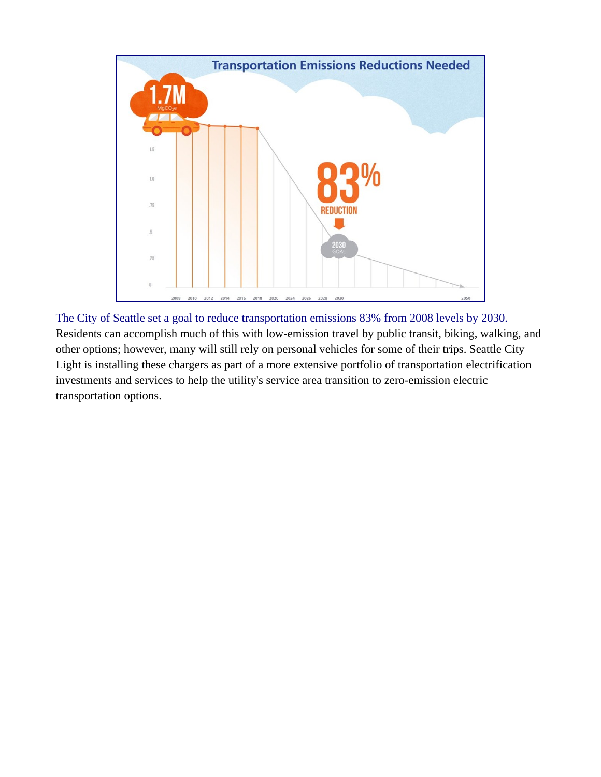

[The City of Seattle set a goal to reduce transportation emissions 83% from 2008 levels by 2030.](https://www.seattle.gov/environment/environmental-progress/climate-change) Residents can accomplish much of this with low-emission travel by public transit, biking, walking, and other options; however, many will still rely on personal vehicles for some of their trips. Seattle City Light is installing these chargers as part of a more extensive portfolio of transportation electrification investments and services to help the utility's service area transition to zero-emission electric transportation options.